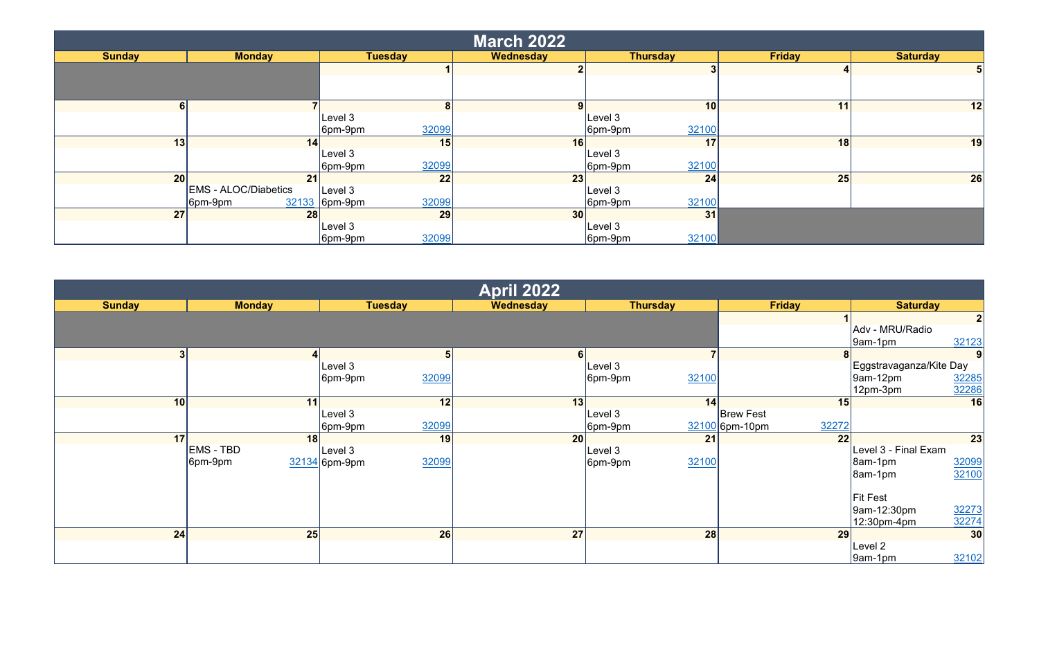| <b>March 2022</b> |                                        |                                   |           |                                  |               |                 |  |  |
|-------------------|----------------------------------------|-----------------------------------|-----------|----------------------------------|---------------|-----------------|--|--|
| <b>Sunday</b>     | <b>Monday</b>                          | <b>Tuesday</b>                    | Wednesday | <b>Thursday</b>                  | <b>Friday</b> | <b>Saturday</b> |  |  |
|                   |                                        |                                   |           |                                  |               |                 |  |  |
|                   |                                        |                                   |           |                                  |               |                 |  |  |
| 61                |                                        | 8                                 | 9         | 10 <sup>1</sup>                  | 11            | 12              |  |  |
|                   |                                        | Level 3<br>32099<br>6pm-9pm       |           | Level 3 <br>32100<br>$ 6$ pm-9pm |               |                 |  |  |
| 13                | 14                                     | 15                                | 16        | 17                               | 18            | 19              |  |  |
|                   |                                        | Level 3<br>32099<br>$ 6$ pm-9pm   |           | Level 3<br>32100<br>$ 6$ pm-9pm  |               |                 |  |  |
| 20                | 21                                     | 22                                | 23        | 24                               | 25            | 26              |  |  |
|                   | <b>EMS - ALOC/Diabetics</b><br>6pm-9pm | Level 3<br>32099<br>32133 6pm-9pm |           | Level 3<br>32100<br>$ 6$ pm-9pm  |               |                 |  |  |
| 27                | 28                                     | 29                                | 30        | 31                               |               |                 |  |  |
|                   |                                        | Level 3<br>32099<br>$ 6$ pm-9pm   |           | Level 3<br>32100<br>$ 6$ pm-9pm  |               |                 |  |  |

| <b>April 2022</b> |                  |                          |           |                  |                         |                             |  |
|-------------------|------------------|--------------------------|-----------|------------------|-------------------------|-----------------------------|--|
| <b>Sunday</b>     | <b>Monday</b>    | <b>Tuesday</b>           | Wednesday | <b>Thursday</b>  | <b>Friday</b>           | <b>Saturday</b>             |  |
|                   |                  |                          |           |                  |                         | 2                           |  |
|                   |                  |                          |           |                  |                         | Adv - MRU/Radio             |  |
|                   |                  |                          |           |                  |                         | 32123<br>9am-1pm            |  |
|                   |                  | 51                       |           |                  |                         | 9                           |  |
|                   |                  | Level 3                  |           | Level 3          |                         | Eggstravaganza/Kite Day     |  |
|                   |                  | 32099<br>$ 6$ pm-9pm     |           | 32100<br>6pm-9pm |                         | 32285<br>$\sqrt{9}$ am-12pm |  |
|                   |                  |                          |           |                  |                         | 32286<br>$ 12$ pm-3pm       |  |
| 10 <sup>1</sup>   | 11               | 12                       | 13        | 14               | 15                      | 16                          |  |
|                   |                  | Level 3                  |           | Level 3          | <b>Brew Fest</b>        |                             |  |
|                   |                  | 32099<br>6pm-9pm         |           | 6pm-9pm          | 32272<br>32100 6pm-10pm |                             |  |
| 17 <sup>1</sup>   | 18               | 19                       | 20        | 21               | 22                      | 23                          |  |
|                   | <b>EMS - TBD</b> | Level 3                  |           | Level 3          |                         | Level 3 - Final Exam        |  |
|                   | 6pm-9pm          | 32099<br>$32134$ 6pm-9pm |           | 32100<br>6pm-9pm |                         | 32099<br>8am-1pm            |  |
|                   |                  |                          |           |                  |                         | 32100<br>8am-1pm            |  |
|                   |                  |                          |           |                  |                         |                             |  |
|                   |                  |                          |           |                  |                         | <b>Fit Fest</b>             |  |
|                   |                  |                          |           |                  |                         | 32273<br>9am-12:30pm        |  |
|                   |                  |                          |           |                  |                         | 32274<br>12:30pm-4pm        |  |
| 24                | 25               | 26                       | 27        | 28               | 29                      | 30                          |  |
|                   |                  |                          |           |                  |                         | Level 2                     |  |
|                   |                  |                          |           |                  |                         | 32102<br>$[9am-1pm]$        |  |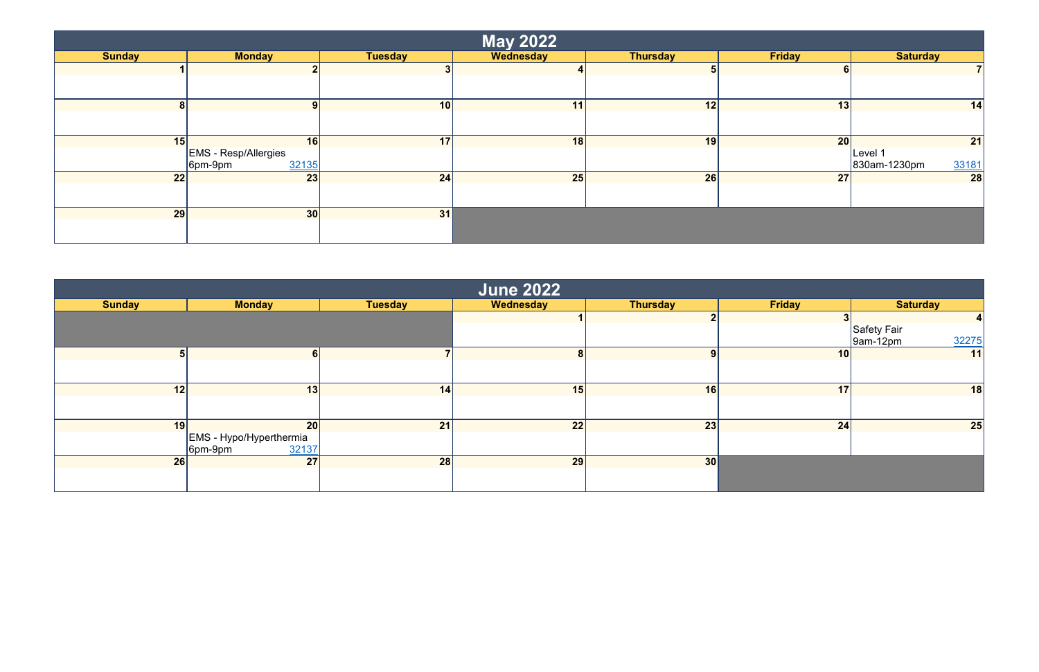|               |                             |                 | <b>May 2022</b> |                 |               |                       |
|---------------|-----------------------------|-----------------|-----------------|-----------------|---------------|-----------------------|
| <b>Sunday</b> | <b>Monday</b>               | Tuesday         | Wednesday       | <b>Thursday</b> | <b>Friday</b> | <b>Saturday</b>       |
|               | -                           | -3              | 4               | э               | 6             |                       |
|               |                             |                 |                 |                 |               |                       |
| 8             | 9                           | 10 <sup>1</sup> | 11              | 12              | 13            | 14                    |
|               |                             |                 |                 |                 |               |                       |
| 15            | 16                          | 17              | 18              | 19              | 20            | 21                    |
|               | <b>EMS</b> - Resp/Allergies |                 |                 |                 |               | Level 1               |
|               | 32135<br>$6pm-9pm$          |                 |                 |                 |               | 33181<br>830am-1230pm |
| 22            | 23                          | 24              | 25              | 26              | 27            | 28                    |
|               |                             |                 |                 |                 |               |                       |
| 29            | 30                          | 31              |                 |                 |               |                       |
|               |                             |                 |                 |                 |               |                       |

| <b>June 2022</b> |                                               |                |           |                 |                 |                             |  |  |
|------------------|-----------------------------------------------|----------------|-----------|-----------------|-----------------|-----------------------------|--|--|
| <b>Sunday</b>    | <b>Monday</b>                                 | <b>Tuesday</b> | Wednesday | <b>Thursday</b> | <b>Friday</b>   | <b>Saturday</b>             |  |  |
|                  |                                               |                |           |                 |                 |                             |  |  |
|                  |                                               |                |           |                 |                 | Safety Fair                 |  |  |
|                  |                                               |                |           |                 |                 | 32275<br>$\sqrt{9}$ am-12pm |  |  |
|                  | 6 <sup>1</sup>                                |                | 8         | 9               | 10 <sup>1</sup> | 11                          |  |  |
|                  |                                               |                |           |                 |                 |                             |  |  |
| 12               | 13                                            | 14             | 15        | 16              | 17              | 18                          |  |  |
|                  |                                               |                |           |                 |                 |                             |  |  |
| 19               | 20                                            | 21             | 22        | 23              | 24              | 25                          |  |  |
|                  | EMS - Hypo/Hyperthermia<br>32137<br>$6pm-9pm$ |                |           |                 |                 |                             |  |  |
| 26               | 27                                            | 28             | 29        | 30              |                 |                             |  |  |
|                  |                                               |                |           |                 |                 |                             |  |  |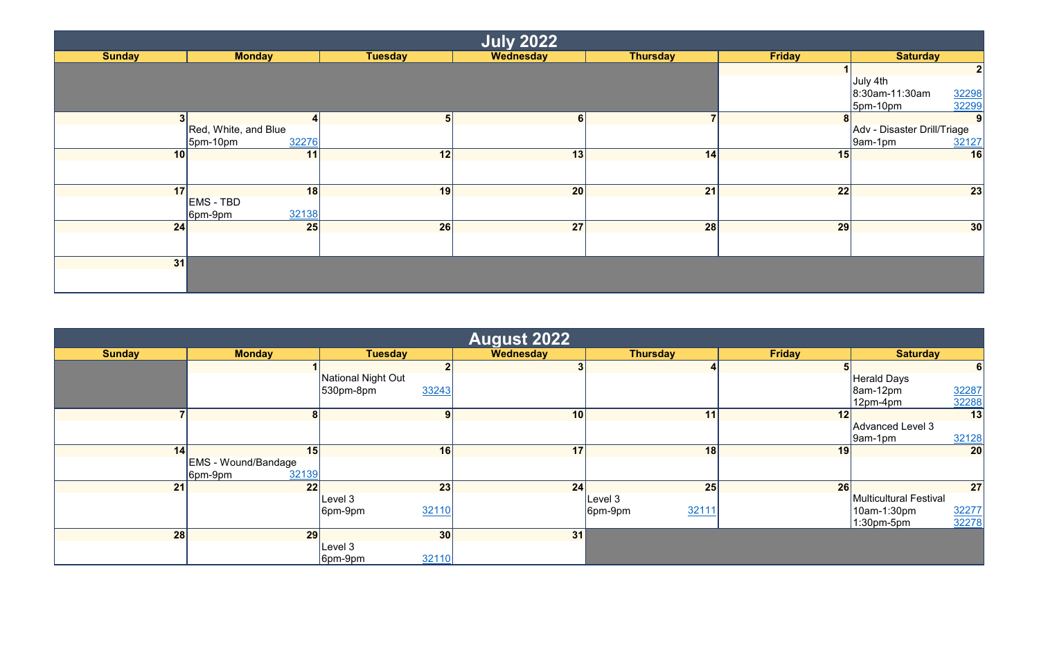| <b>July 2022</b> |                       |                |           |                 |               |                                  |  |  |
|------------------|-----------------------|----------------|-----------|-----------------|---------------|----------------------------------|--|--|
| <b>Sunday</b>    | <b>Monday</b>         | Tuesday        | Wednesday | <b>Thursday</b> | <b>Friday</b> | <b>Saturday</b>                  |  |  |
|                  |                       |                |           |                 |               | $\mathbf{2}$                     |  |  |
|                  |                       |                |           |                 |               | July 4th                         |  |  |
|                  |                       |                |           |                 |               | 32298<br>32299<br>8:30am-11:30am |  |  |
|                  |                       |                |           |                 |               | $ 5$ pm-10pm                     |  |  |
| 3 <sup>1</sup>   |                       | 5 <sup>1</sup> | 6         |                 | 8             | 9                                |  |  |
|                  | Red, White, and Blue  |                |           |                 |               | Adv - Disaster Drill/Triage      |  |  |
|                  | 32276<br>$J$ 5pm-10pm |                |           |                 |               | 32127<br>$\sqrt{9}$ am-1pm       |  |  |
| 10               | 11                    | 12             | 13        | 14              | 15            | 16                               |  |  |
|                  |                       |                |           |                 |               |                                  |  |  |
| 17 <sup>1</sup>  | 18                    | 19             | 20        | 21              | 22            | 23                               |  |  |
|                  | <b>EMS - TBD</b>      |                |           |                 |               |                                  |  |  |
|                  | 32138<br>6pm-9pm      |                |           |                 |               |                                  |  |  |
| 24               | 25                    | 26             | 27        | 28              | 29            | 30                               |  |  |
|                  |                       |                |           |                 |               |                                  |  |  |
|                  |                       |                |           |                 |               |                                  |  |  |
| 31               |                       |                |           |                 |               |                                  |  |  |
|                  |                       |                |           |                 |               |                                  |  |  |
|                  |                       |                |           |                 |               |                                  |  |  |

| <b>August 2022</b> |                                                    |                                          |           |                  |               |                                                         |    |  |
|--------------------|----------------------------------------------------|------------------------------------------|-----------|------------------|---------------|---------------------------------------------------------|----|--|
| <b>Sunday</b>      | <b>Monday</b>                                      | <b>Tuesday</b>                           | Wednesday | <b>Thursday</b>  | <b>Friday</b> | <b>Saturday</b>                                         |    |  |
|                    |                                                    |                                          |           |                  |               |                                                         | 6  |  |
|                    |                                                    | National Night Out<br>33243<br>530pm-8pm |           |                  |               | <b>Herald Days</b><br>32287<br>32288<br>$\beta$ am-12pm |    |  |
|                    |                                                    |                                          |           |                  |               | 12pm-4pm                                                |    |  |
|                    | 8 <sup>1</sup>                                     | 9                                        | 10        | 11               | 12            |                                                         | 13 |  |
|                    |                                                    |                                          |           |                  |               | Advanced Level 3<br>32128<br>$ 9$ am-1pm                |    |  |
| 14                 | 15                                                 | 16                                       | 17        | 18               | 19            |                                                         | 20 |  |
|                    | <b>EMS - Wound/Bandage</b><br>32139<br>$ 6$ pm-9pm |                                          |           |                  |               |                                                         |    |  |
| 21                 | 22                                                 | 23                                       | 24        | 25               | 26            |                                                         | 27 |  |
|                    |                                                    | Level 3                                  |           | Level 3          |               | Multicultural Festival                                  |    |  |
|                    |                                                    | 32110<br>6pm-9pm                         |           | 32111<br>6pm-9pm |               | 32277<br>10am-1:30pm                                    |    |  |
|                    |                                                    |                                          |           |                  |               | 32278<br>$1:30$ pm-5pm                                  |    |  |
| 28                 | 29                                                 | 30 <sup>l</sup>                          | 31        |                  |               |                                                         |    |  |
|                    |                                                    | Level 3<br>32110<br>$ 6$ pm-9pm          |           |                  |               |                                                         |    |  |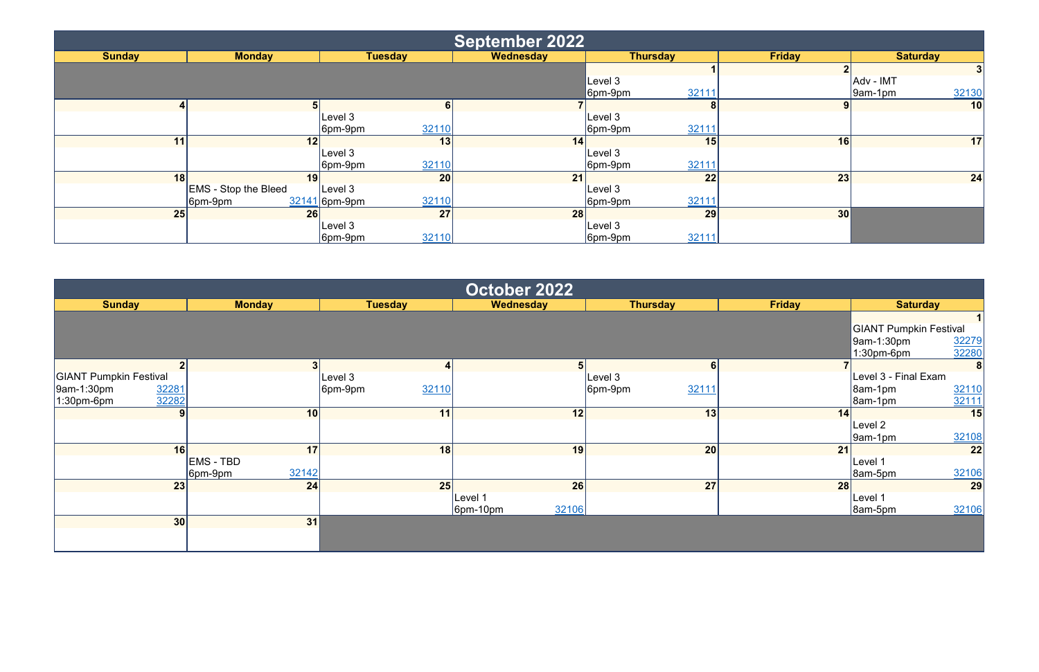|               |                             |                        | <b>September 2022</b> |                      |                 |                      |
|---------------|-----------------------------|------------------------|-----------------------|----------------------|-----------------|----------------------|
| <b>Sunday</b> | <b>Monday</b>               | <b>Tuesday</b>         | Wednesday             | <b>Thursday</b>      | <b>Friday</b>   | <b>Saturday</b>      |
|               |                             |                        |                       |                      |                 | اک                   |
|               |                             |                        |                       | Level 3              |                 | Adv - IMT            |
|               |                             |                        |                       | 32111<br>6pm-9pm     |                 | 32130<br>$ 9am-1pm $ |
|               | h                           | 6 <sup>1</sup>         |                       |                      |                 | 10                   |
|               |                             | Level 3                |                       | Level 3              |                 |                      |
|               |                             | 32110<br>6pm-9pm       |                       | 32111<br>$ 6$ pm-9pm |                 |                      |
| 11            | 12                          | 13                     | 14                    | 15                   | 16              | 17                   |
|               |                             | Level 3                |                       | Level 3              |                 |                      |
|               |                             | 32110<br>$ 6$ pm-9pm   |                       | 32111<br>$ 6$ pm-9pm |                 |                      |
| 18            | 19                          | 20                     | 21                    | 22                   | 23              | 24                   |
|               | <b>EMS</b> - Stop the Bleed | Level 3                |                       | Level 3              |                 |                      |
|               | $ 6$ pm-9pm                 | 32110<br>32141 6pm-9pm |                       | 32111<br>$ 6$ pm-9pm |                 |                      |
| 25            | 26                          | 27                     | 28                    | 29                   | 30 <sup>l</sup> |                      |
|               |                             | Level 3                |                       | Level 3              |                 |                      |
|               |                             | 32110<br>$ 6$ pm-9pm   |                       | 32111<br>$ 6$ pm-9pm |                 |                      |

| October 2022                  |                      |                      |                       |                  |               |                               |  |  |
|-------------------------------|----------------------|----------------------|-----------------------|------------------|---------------|-------------------------------|--|--|
| <b>Sunday</b>                 | <b>Monday</b>        | <b>Tuesday</b>       | Wednesday             | <b>Thursday</b>  | <b>Friday</b> | <b>Saturday</b>               |  |  |
|                               |                      |                      |                       |                  |               | 1 <sup>1</sup>                |  |  |
|                               |                      |                      |                       |                  |               | <b>GIANT Pumpkin Festival</b> |  |  |
|                               |                      |                      |                       |                  |               | 32279<br>9am-1:30pm           |  |  |
|                               |                      |                      |                       |                  |               | 32280<br>$1:30$ pm-6pm        |  |  |
|                               | 2 <sub>1</sub>       | 3 <sup>1</sup>       |                       | 6 <sup>1</sup>   |               | 8                             |  |  |
| <b>GIANT Pumpkin Festival</b> |                      | Level 3              |                       | Level 3          |               | Level 3 - Final Exam          |  |  |
| 32281<br>9am-1:30pm           |                      | 32110<br>$ 6$ pm-9pm |                       | 32111<br>6pm-9pm |               | 32110<br>8am-1pm              |  |  |
| 32282<br>$1:30$ pm-6pm        |                      |                      |                       |                  |               | 32111<br>$\beta$ am-1pm       |  |  |
|                               | 10 <sup>1</sup><br>9 | 11                   | 12                    | 13               | 14            | 15                            |  |  |
|                               |                      |                      |                       |                  |               | Level 2                       |  |  |
|                               |                      |                      |                       |                  |               | 32108<br>$ 9$ am-1pm          |  |  |
|                               | 16<br>17             | 18                   | 19                    | 20               | 21            | 22                            |  |  |
|                               | <b>EMS - TBD</b>     |                      |                       |                  |               | Level 1                       |  |  |
|                               | 32142<br>$ 6$ pm-9pm |                      |                       |                  |               | 32106<br>$\beta$ am-5pm       |  |  |
|                               | 23<br>24             | 25                   | 26                    | 27               | 28            | 29                            |  |  |
|                               |                      |                      | Level 1               |                  |               | Level 1                       |  |  |
|                               |                      |                      | 32106<br>$ 6$ pm-10pm |                  |               | 32106<br>$\beta$ am-5pm       |  |  |
|                               | 30<br>31             |                      |                       |                  |               |                               |  |  |
|                               |                      |                      |                       |                  |               |                               |  |  |
|                               |                      |                      |                       |                  |               |                               |  |  |